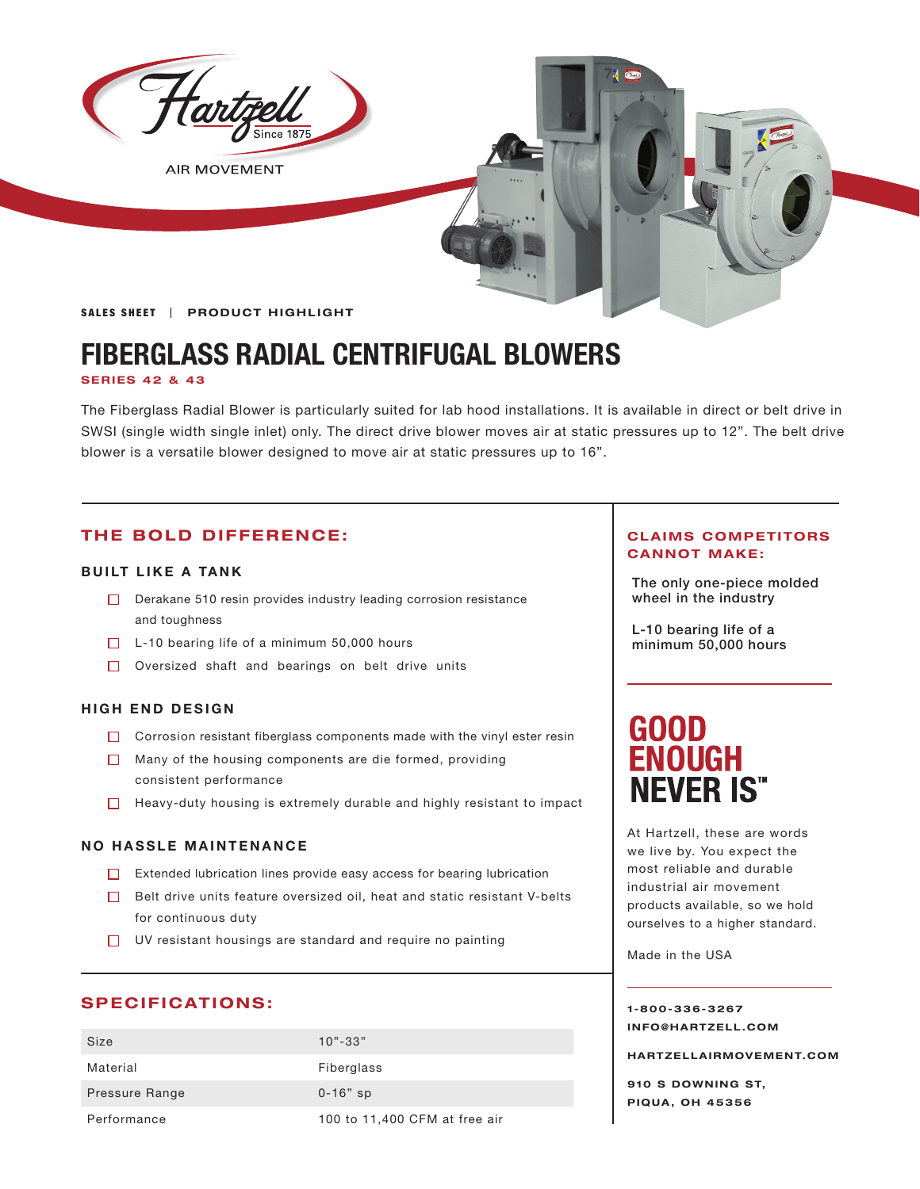

**AIR MOVEMENT** 

SALES SHEET | PRODUCT HIGHLIGHT

## **FIBERGLASS RADIAL CENTRIFUGAL BLOWERS**

#### **SERIES 42 & 43**

The Fiberglass Radial Blower is particularly suited for lab hood installations. It is available in direct or belt drive in SWSI (single width single inlet) only. The direct drive blower moves air at static pressures up to 12". The belt drive blower is a versatile blower designed to move air at static pressures up to 16".

### **THE BOLD DIFFERENCE:**

### **BUILT LIKE A TANK**

- $\Box$  Derakane 510 resin provides industry leading corrosion resistance wheel in the industry and toughness
- $\Box$  L-10 bearing life of a minimum 50,000 hours
- $\Box$  Oversized shaft and bearings on belt drive units

### **HIGH END DESIGN**

- $\Box$  Corrosion resistant fiberglass components made with the vinyl ester resin
- Many of the housing components are die formed, providing consistent performance
- $\Box$  Heavy-duty housing is extremely durable and highly resistant to impact

### **NO HASSLE MAINTENANCE**

- Extended lubrication lines provide easy access for bearing lubrication
- $\Box$  Belt drive units feature oversized oil, heat and static resistant V-belts for continuous duty
- UV resistant housings are standard and require no painting

### **SPECIFICATIONS:**

| Size           | $10" - 33"$                   |
|----------------|-------------------------------|
| Material       | Fiberglass                    |
| Pressure Range | $0 - 16"$ sp                  |
| Performance    | 100 to 11,400 CFM at free air |

### **CLAIMS COMPETITORS CANNOT MAKE:**

The only one-piece molded

L-10 bearing life of a minimum 50,000 hours

# **GOOD<br>ENOUGH NEVER IS"**

At Hartzell, these are words we live by. You expect the most reliable and durable industrial air movement products available, so we hold ourselves to a higher standard.

Made in the USA

**1-800-336-3267 I N F O @ H A R T Z E L L . C OM** 

**HARTZELLA IRMOVEMENT.COM**

**910 S DOWNING ST, PIQUA, OH 45356**